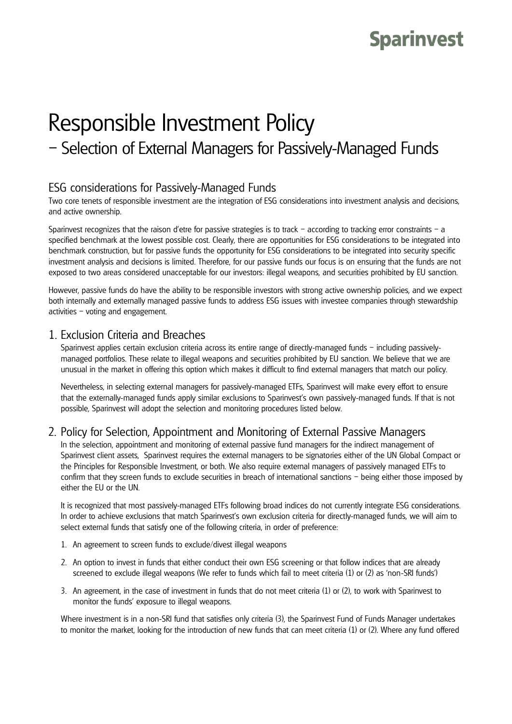# **Sparinvest**

# Responsible Investment Policy – Selection of External Managers for Passively-Managed Funds

## ESG considerations for Passively-Managed Funds

Two core tenets of responsible investment are the integration of ESG considerations into investment analysis and decisions, and active ownership.

Sparinvest recognizes that the raison d'etre for passive strategies is to track – according to tracking error constraints – a specified benchmark at the lowest possible cost. Clearly, there are opportunities for ESG considerations to be integrated into benchmark construction, but for passive funds the opportunity for ESG considerations to be integrated into security specific investment analysis and decisions is limited. Therefore, for our passive funds our focus is on ensuring that the funds are not exposed to two areas considered unacceptable for our investors: illegal weapons, and securities prohibited by EU sanction.

However, passive funds do have the ability to be responsible investors with strong active ownership policies, and we expect both internally and externally managed passive funds to address ESG issues with investee companies through stewardship activities – voting and engagement.

#### 1. Exclusion Criteria and Breaches

Sparinvest applies certain exclusion criteria across its entire range of directly-managed funds – including passivelymanaged portfolios. These relate to illegal weapons and securities prohibited by EU sanction. We believe that we are unusual in the market in offering this option which makes it difficult to find external managers that match our policy.

Nevertheless, in selecting external managers for passively-managed ETFs, Sparinvest will make every effort to ensure that the externally-managed funds apply similar exclusions to Sparinvest's own passively-managed funds. If that is not possible, Sparinvest will adopt the selection and monitoring procedures listed below.

### 2. Policy for Selection, Appointment and Monitoring of External Passive Managers

In the selection, appointment and monitoring of external passive fund managers for the indirect management of Sparinvest client assets, Sparinvest requires the external managers to be signatories either of the UN Global Compact or the Principles for Responsible Investment, or both. We also require external managers of passively managed ETFs to confirm that they screen funds to exclude securities in breach of international sanctions – being either those imposed by either the EU or the UN.

It is recognized that most passively-managed ETFs following broad indices do not currently integrate ESG considerations. In order to achieve exclusions that match Sparinvest's own exclusion criteria for directly-managed funds, we will aim to select external funds that satisfy one of the following criteria, in order of preference:

- 1. An agreement to screen funds to exclude/divest illegal weapons
- 2. An option to invest in funds that either conduct their own ESG screening or that follow indices that are already screened to exclude illegal weapons (We refer to funds which fail to meet criteria (1) or (2) as 'non-SRI funds')
- 3. An agreement, in the case of investment in funds that do not meet criteria (1) or (2), to work with Sparinvest to monitor the funds' exposure to illegal weapons.

Where investment is in a non-SRI fund that satisfies only criteria (3), the Sparinvest Fund of Funds Manager undertakes to monitor the market, looking for the introduction of new funds that can meet criteria (1) or (2). Where any fund offered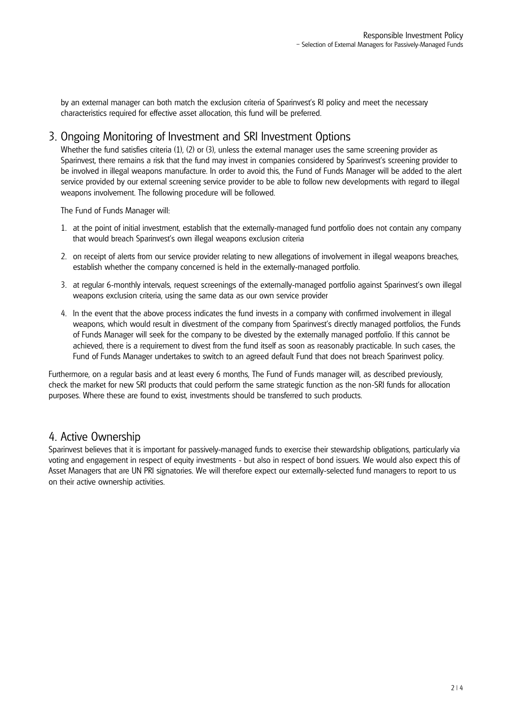by an external manager can both match the exclusion criteria of Sparinvest's RI policy and meet the necessary characteristics required for effective asset allocation, this fund will be preferred.

#### 3. Ongoing Monitoring of Investment and SRI Investment Options

Whether the fund satisfies criteria (1), (2) or (3), unless the external manager uses the same screening provider as Sparinvest, there remains a risk that the fund may invest in companies considered by Sparinvest's screening provider to be involved in illegal weapons manufacture. In order to avoid this, the Fund of Funds Manager will be added to the alert service provided by our external screening service provider to be able to follow new developments with regard to illegal weapons involvement. The following procedure will be followed.

The Fund of Funds Manager will:

- 1. at the point of initial investment, establish that the externally-managed fund portfolio does not contain any company that would breach Sparinvest's own illegal weapons exclusion criteria
- 2. on receipt of alerts from our service provider relating to new allegations of involvement in illegal weapons breaches, establish whether the company concerned is held in the externally-managed portfolio.
- 3. at regular 6-monthly intervals, request screenings of the externally-managed portfolio against Sparinvest's own illegal weapons exclusion criteria, using the same data as our own service provider
- 4. In the event that the above process indicates the fund invests in a company with confirmed involvement in illegal weapons, which would result in divestment of the company from Sparinvest's directly managed portfolios, the Funds of Funds Manager will seek for the company to be divested by the externally managed portfolio. If this cannot be achieved, there is a requirement to divest from the fund itself as soon as reasonably practicable. In such cases, the Fund of Funds Manager undertakes to switch to an agreed default Fund that does not breach Sparinvest policy.

Furthermore, on a regular basis and at least every 6 months, The Fund of Funds manager will, as described previously, check the market for new SRI products that could perform the same strategic function as the non-SRI funds for allocation purposes. Where these are found to exist, investments should be transferred to such products.

#### 4. Active Ownership

Sparinvest believes that it is important for passively-managed funds to exercise their stewardship obligations, particularly via voting and engagement in respect of equity investments - but also in respect of bond issuers. We would also expect this of Asset Managers that are UN PRI signatories. We will therefore expect our externally-selected fund managers to report to us on their active ownership activities.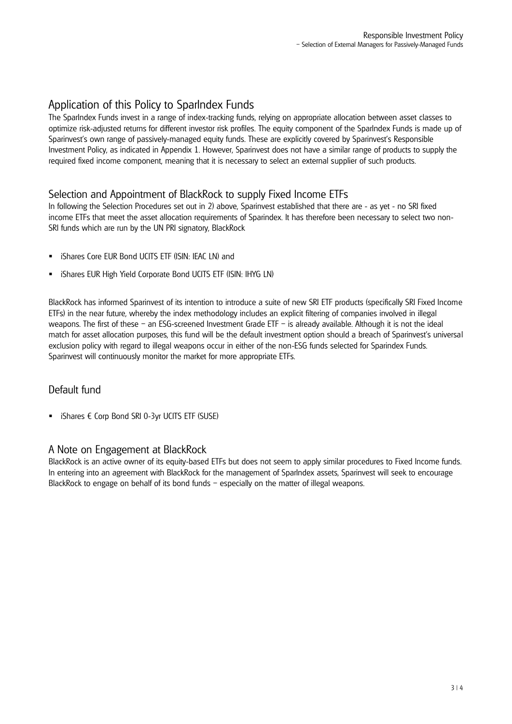# Application of this Policy to SparIndex Funds

The SparIndex Funds invest in a range of index-tracking funds, relying on appropriate allocation between asset classes to optimize risk-adjusted returns for different investor risk profiles. The equity component of the SparIndex Funds is made up of Sparinvest's own range of passively-managed equity funds. These are explicitly covered by Sparinvest's Responsible Investment Policy, as indicated in Appendix 1. However, Sparinvest does not have a similar range of products to supply the required fixed income component, meaning that it is necessary to select an external supplier of such products.

#### Selection and Appointment of BlackRock to supply Fixed Income ETFs

In following the Selection Procedures set out in 2) above, Sparinvest established that there are - as yet - no SRI fixed income ETFs that meet the asset allocation requirements of Sparindex. It has therefore been necessary to select two non-SRI funds which are run by the UN PRI signatory, BlackRock

- iShares Core EUR Bond UCITS ETF (ISIN: IEAC LN) and
- iShares EUR High Yield Corporate Bond UCITS ETF (ISIN: IHYG LN)

BlackRock has informed Sparinvest of its intention to introduce a suite of new SRI ETF products (specifically SRI Fixed Income ETFs) in the near future, whereby the index methodology includes an explicit filtering of companies involved in illegal weapons. The first of these – an ESG-screened Investment Grade ETF – is already available. Although it is not the ideal match for asset allocation purposes, this fund will be the default investment option should a breach of Sparinvest's universal exclusion policy with regard to illegal weapons occur in either of the non-ESG funds selected for Sparindex Funds. Sparinvest will continuously monitor the market for more appropriate ETFs.

### Default fund

 $\blacksquare$  iShares  $\epsilon$  Corp Bond SRI 0-3yr UCITS ETF (SUSE)

#### A Note on Engagement at BlackRock

BlackRock is an active owner of its equity-based ETFs but does not seem to apply similar procedures to Fixed Income funds. In entering into an agreement with BlackRock for the management of SparIndex assets, Sparinvest will seek to encourage BlackRock to engage on behalf of its bond funds – especially on the matter of illegal weapons.